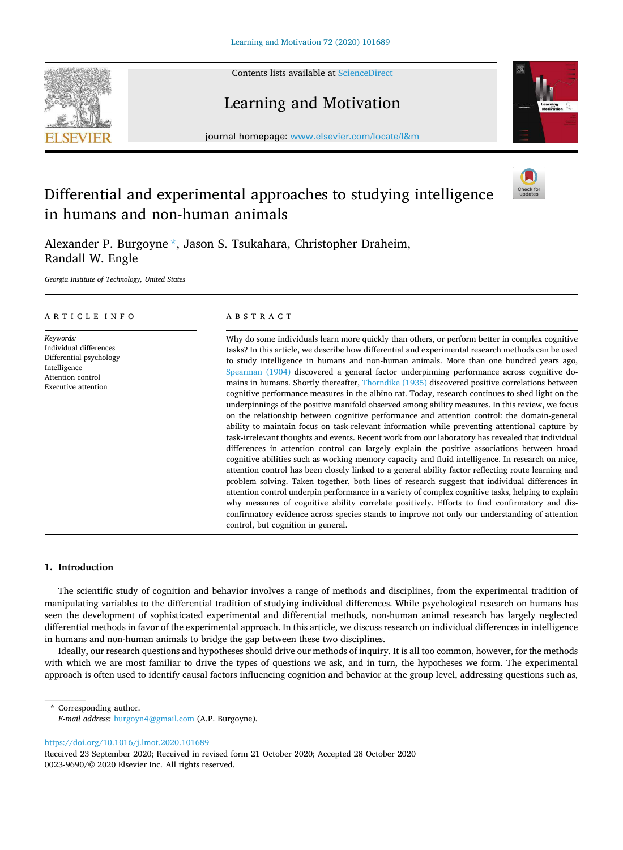Contents lists available at [ScienceDirect](www.sciencedirect.com/science/journal/00239690)



# Learning and Motivation



journal homepage: [www.elsevier.com/locate/l&m](https://www.elsevier.com/locate/l&m) 

## Differential and experimental approaches to studying intelligence in humans and non-human animals

Alexander P. Burgoyne \*, Jason S. Tsukahara, Christopher Draheim, Randall W. Engle

*Georgia Institute of Technology, United States* 

## A R T I C L E I N F O

*Keywords:*  Individual differences Differential psychology Intelligence Attention control Executive attention

### ABSTRACT

Why do some individuals learn more quickly than others, or perform better in complex cognitive tasks? In this article, we describe how differential and experimental research methods can be used to study intelligence in humans and non-human animals. More than one hundred years ago, [Spearman \(1904\)](#page-8-0) discovered a general factor underpinning performance across cognitive domains in humans. Shortly thereafter, [Thorndike \(1935\)](#page-8-0) discovered positive correlations between cognitive performance measures in the albino rat. Today, research continues to shed light on the underpinnings of the positive manifold observed among ability measures. In this review, we focus on the relationship between cognitive performance and attention control: the domain-general ability to maintain focus on task-relevant information while preventing attentional capture by task-irrelevant thoughts and events. Recent work from our laboratory has revealed that individual differences in attention control can largely explain the positive associations between broad cognitive abilities such as working memory capacity and fluid intelligence. In research on mice, attention control has been closely linked to a general ability factor reflecting route learning and problem solving. Taken together, both lines of research suggest that individual differences in attention control underpin performance in a variety of complex cognitive tasks, helping to explain why measures of cognitive ability correlate positively. Efforts to find confirmatory and disconfirmatory evidence across species stands to improve not only our understanding of attention control, but cognition in general.

## **1. Introduction**

The scientific study of cognition and behavior involves a range of methods and disciplines, from the experimental tradition of manipulating variables to the differential tradition of studying individual differences. While psychological research on humans has seen the development of sophisticated experimental and differential methods, non-human animal research has largely neglected differential methods in favor of the experimental approach. In this article, we discuss research on individual differences in intelligence in humans and non-human animals to bridge the gap between these two disciplines.

Ideally, our research questions and hypotheses should drive our methods of inquiry. It is all too common, however, for the methods with which we are most familiar to drive the types of questions we ask, and in turn, the hypotheses we form. The experimental approach is often used to identify causal factors influencing cognition and behavior at the group level, addressing questions such as,

Corresponding author.

<https://doi.org/10.1016/j.lmot.2020.101689>

*E-mail address:* [burgoyn4@gmail.com](mailto:burgoyn4@gmail.com) (A.P. Burgoyne).

<sup>0023-9690/© 2020</sup> Elsevier Inc. All rights reserved. Received 23 September 2020; Received in revised form 21 October 2020; Accepted 28 October 2020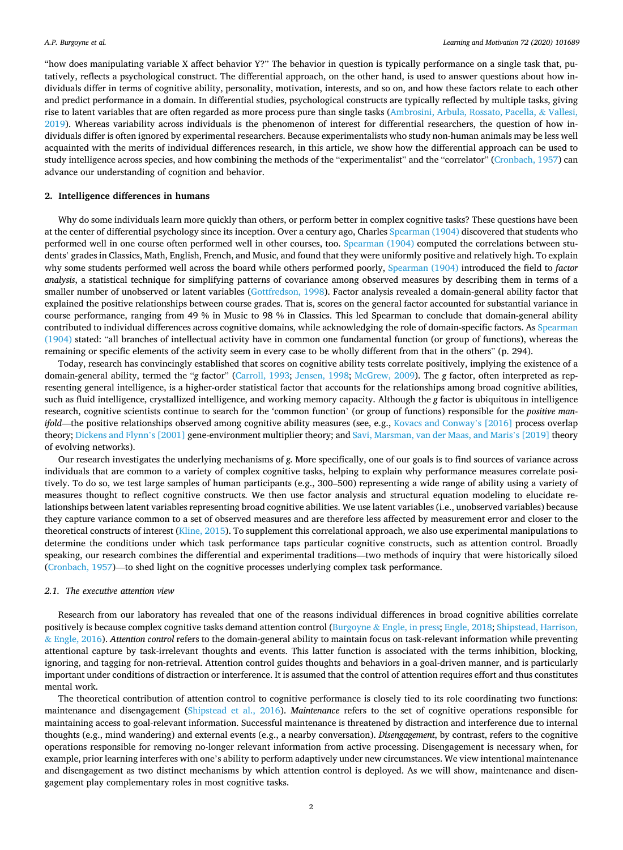"how does manipulating variable X affect behavior Y?" The behavior in question is typically performance on a single task that, putatively, reflects a psychological construct. The differential approach, on the other hand, is used to answer questions about how individuals differ in terms of cognitive ability, personality, motivation, interests, and so on, and how these factors relate to each other and predict performance in a domain. In differential studies, psychological constructs are typically reflected by multiple tasks, giving rise to latent variables that are often regarded as more process pure than single tasks [\(Ambrosini, Arbula, Rossato, Pacella,](#page-7-0) & Vallesi, [2019\)](#page-7-0). Whereas variability across individuals is the phenomenon of interest for differential researchers, the question of how individuals differ is often ignored by experimental researchers. Because experimentalists who study non-human animals may be less well acquainted with the merits of individual differences research, in this article, we show how the differential approach can be used to study intelligence across species, and how combining the methods of the "experimentalist" and the "correlator" [\(Cronbach, 1957](#page-7-0)) can advance our understanding of cognition and behavior.

## **2. Intelligence differences in humans**

Why do some individuals learn more quickly than others, or perform better in complex cognitive tasks? These questions have been at the center of differential psychology since its inception. Over a century ago, Charles [Spearman \(1904\)](#page-8-0) discovered that students who performed well in one course often performed well in other courses, too. [Spearman \(1904\)](#page-8-0) computed the correlations between students' grades in Classics, Math, English, French, and Music, and found that they were uniformly positive and relatively high. To explain why some students performed well across the board while others performed poorly, [Spearman \(1904\)](#page-8-0) introduced the field to *factor analysis*, a statistical technique for simplifying patterns of covariance among observed measures by describing them in terms of a smaller number of unobserved or latent variables [\(Gottfredson, 1998\)](#page-8-0). Factor analysis revealed a domain-general ability factor that explained the positive relationships between course grades. That is, scores on the general factor accounted for substantial variance in course performance, ranging from 49 % in Music to 98 % in Classics. This led Spearman to conclude that domain-general ability contributed to individual differences across cognitive domains, while acknowledging the role of domain-specific factors. As [Spearman](#page-8-0) [\(1904\)](#page-8-0) stated: "all branches of intellectual activity have in common one fundamental function (or group of functions), whereas the remaining or specific elements of the activity seem in every case to be wholly different from that in the others" (p. 294).

Today, research has convincingly established that scores on cognitive ability tests correlate positively, implying the existence of a domain-general ability, termed the "*g* factor" ([Carroll, 1993](#page-7-0); [Jensen, 1998](#page-8-0); [McGrew, 2009](#page-8-0)). The *g* factor, often interpreted as representing general intelligence, is a higher-order statistical factor that accounts for the relationships among broad cognitive abilities, such as fluid intelligence, crystallized intelligence, and working memory capacity. Although the *g* factor is ubiquitous in intelligence research, cognitive scientists continue to search for the 'common function' (or group of functions) responsible for the *positive manifold*—the positive relationships observed among cognitive ability measures (see, e.g., [Kovacs and Conway](#page-8-0)'s [2016] process overlap theory; [Dickens and Flynn](#page-8-0)'s [2001] gene-environment multiplier theory; and [Savi, Marsman, van der Maas, and Maris](#page-8-0)'s [2019] theory of evolving networks).

Our research investigates the underlying mechanisms of *g*. More specifically, one of our goals is to find sources of variance across individuals that are common to a variety of complex cognitive tasks, helping to explain why performance measures correlate positively. To do so, we test large samples of human participants (e.g., 300–500) representing a wide range of ability using a variety of measures thought to reflect cognitive constructs. We then use factor analysis and structural equation modeling to elucidate relationships between latent variables representing broad cognitive abilities. We use latent variables (i.e., unobserved variables) because they capture variance common to a set of observed measures and are therefore less affected by measurement error and closer to the theoretical constructs of interest ([Kline, 2015\)](#page-8-0). To supplement this correlational approach, we also use experimental manipulations to determine the conditions under which task performance taps particular cognitive constructs, such as attention control. Broadly speaking, our research combines the differential and experimental traditions—two methods of inquiry that were historically siloed [\(Cronbach, 1957](#page-7-0))—to shed light on the cognitive processes underlying complex task performance.

#### *2.1. The executive attention view*

Research from our laboratory has revealed that one of the reasons individual differences in broad cognitive abilities correlate positively is because complex cognitive tasks demand attention control (Burgoyne & [Engle, in press;](#page-7-0) [Engle, 2018](#page-8-0); [Shipstead, Harrison,](#page-8-0) & [Engle, 2016](#page-8-0)). *Attention control* refers to the domain-general ability to maintain focus on task-relevant information while preventing attentional capture by task-irrelevant thoughts and events. This latter function is associated with the terms inhibition, blocking, ignoring, and tagging for non-retrieval. Attention control guides thoughts and behaviors in a goal-driven manner, and is particularly important under conditions of distraction or interference. It is assumed that the control of attention requires effort and thus constitutes mental work.

The theoretical contribution of attention control to cognitive performance is closely tied to its role coordinating two functions: maintenance and disengagement [\(Shipstead et al., 2016](#page-8-0)). *Maintenance* refers to the set of cognitive operations responsible for maintaining access to goal-relevant information. Successful maintenance is threatened by distraction and interference due to internal thoughts (e.g., mind wandering) and external events (e.g., a nearby conversation). *Disengagement*, by contrast, refers to the cognitive operations responsible for removing no-longer relevant information from active processing. Disengagement is necessary when, for example, prior learning interferes with one's ability to perform adaptively under new circumstances. We view intentional maintenance and disengagement as two distinct mechanisms by which attention control is deployed. As we will show, maintenance and disengagement play complementary roles in most cognitive tasks.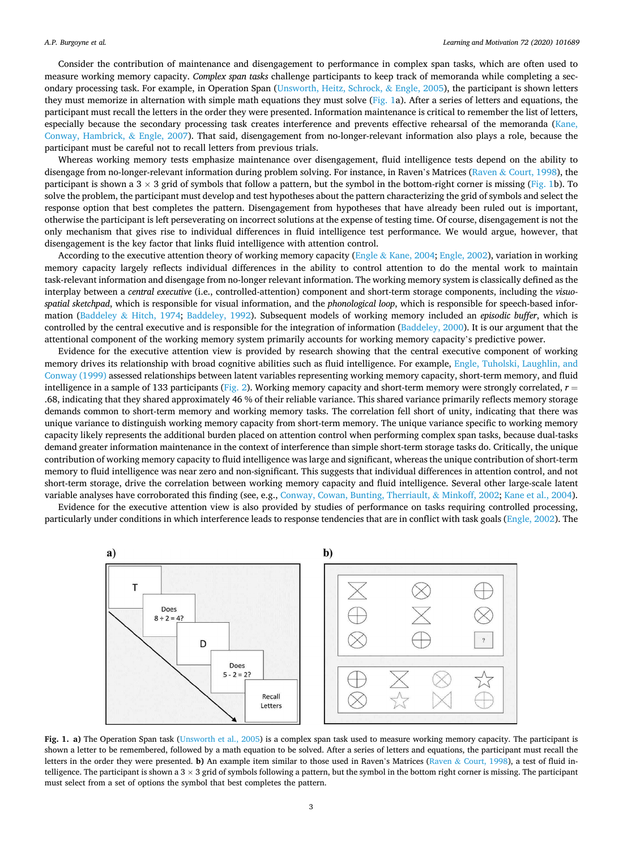Consider the contribution of maintenance and disengagement to performance in complex span tasks, which are often used to measure working memory capacity. *Complex span tasks* challenge participants to keep track of memoranda while completing a secondary processing task. For example, in Operation Span [\(Unsworth, Heitz, Schrock,](#page-8-0) & Engle, 2005), the participant is shown letters they must memorize in alternation with simple math equations they must solve (Fig. 1a). After a series of letters and equations, the participant must recall the letters in the order they were presented. Information maintenance is critical to remember the list of letters, especially because the secondary processing task creates interference and prevents effective rehearsal of the memoranda [\(Kane,](#page-8-0) [Conway, Hambrick,](#page-8-0) & Engle, 2007). That said, disengagement from no-longer-relevant information also plays a role, because the participant must be careful not to recall letters from previous trials.

Whereas working memory tests emphasize maintenance over disengagement, fluid intelligence tests depend on the ability to disengage from no-longer-relevant information during problem solving. For instance, in Raven's Matrices (Raven & [Court, 1998\)](#page-8-0), the participant is shown a  $3 \times 3$  grid of symbols that follow a pattern, but the symbol in the bottom-right corner is missing (Fig. 1b). To solve the problem, the participant must develop and test hypotheses about the pattern characterizing the grid of symbols and select the response option that best completes the pattern. Disengagement from hypotheses that have already been ruled out is important, otherwise the participant is left perseverating on incorrect solutions at the expense of testing time. Of course, disengagement is not the only mechanism that gives rise to individual differences in fluid intelligence test performance. We would argue, however, that disengagement is the key factor that links fluid intelligence with attention control.

According to the executive attention theory of working memory capacity (Engle & [Kane, 2004](#page-8-0); [Engle, 2002](#page-8-0)), variation in working memory capacity largely reflects individual differences in the ability to control attention to do the mental work to maintain task-relevant information and disengage from no-longer relevant information. The working memory system is classically defined as the interplay between a *central executive* (i.e., controlled-attention) component and short-term storage components, including the *visuospatial sketchpad*, which is responsible for visual information, and the *phonological loop*, which is responsible for speech-based information (Baddeley & [Hitch, 1974;](#page-7-0) [Baddeley, 1992](#page-7-0)). Subsequent models of working memory included an *episodic buffer*, which is controlled by the central executive and is responsible for the integration of information ([Baddeley, 2000](#page-7-0)). It is our argument that the attentional component of the working memory system primarily accounts for working memory capacity's predictive power.

Evidence for the executive attention view is provided by research showing that the central executive component of working memory drives its relationship with broad cognitive abilities such as fluid intelligence. For example, [Engle, Tuholski, Laughlin, and](#page-8-0) [Conway \(1999\)](#page-8-0) assessed relationships between latent variables representing working memory capacity, short-term memory, and fluid intelligence in a sample of 133 participants ([Fig. 2\)](#page-3-0). Working memory capacity and short-term memory were strongly correlated,  $r =$ .68, indicating that they shared approximately 46 % of their reliable variance. This shared variance primarily reflects memory storage demands common to short-term memory and working memory tasks. The correlation fell short of unity, indicating that there was unique variance to distinguish working memory capacity from short-term memory. The unique variance specific to working memory capacity likely represents the additional burden placed on attention control when performing complex span tasks, because dual-tasks demand greater information maintenance in the context of interference than simple short-term storage tasks do. Critically, the unique contribution of working memory capacity to fluid intelligence was large and significant, whereas the unique contribution of short-term memory to fluid intelligence was near zero and non-significant. This suggests that individual differences in attention control, and not short-term storage, drive the correlation between working memory capacity and fluid intelligence. Several other large-scale latent variable analyses have corroborated this finding (see, e.g., [Conway, Cowan, Bunting, Therriault,](#page-7-0) & Minkoff, 2002; [Kane et al., 2004](#page-8-0)).

Evidence for the executive attention view is also provided by studies of performance on tasks requiring controlled processing, particularly under conditions in which interference leads to response tendencies that are in conflict with task goals [\(Engle, 2002\)](#page-8-0). The



**Fig. 1. a)** The Operation Span task [\(Unsworth et al., 2005](#page-8-0)) is a complex span task used to measure working memory capacity. The participant is shown a letter to be remembered, followed by a math equation to be solved. After a series of letters and equations, the participant must recall the letters in the order they were presented. **b)** An example item similar to those used in Raven's Matrices (Raven & [Court, 1998\)](#page-8-0), a test of fluid intelligence. The participant is shown a  $3 \times 3$  grid of symbols following a pattern, but the symbol in the bottom right corner is missing. The participant must select from a set of options the symbol that best completes the pattern.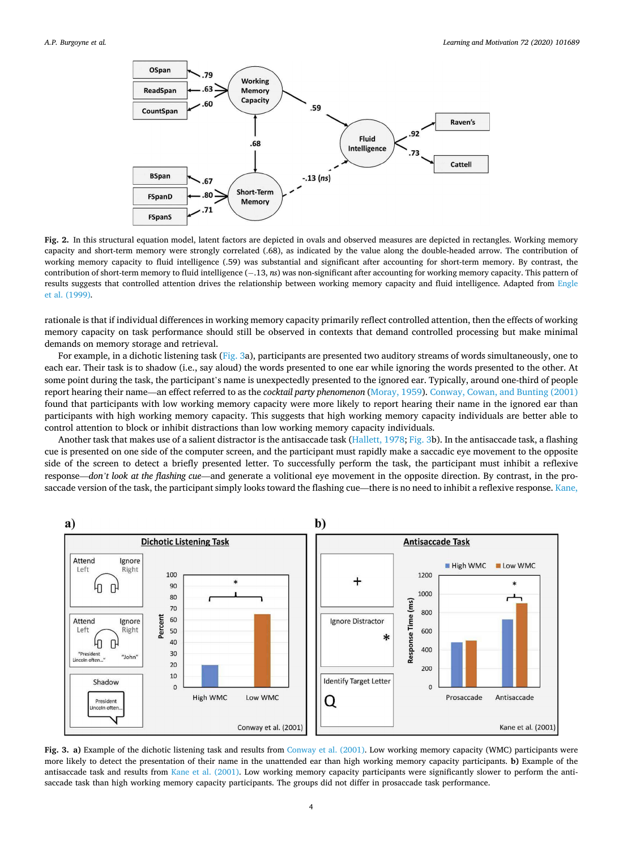<span id="page-3-0"></span>

**Fig. 2.** In this structural equation model, latent factors are depicted in ovals and observed measures are depicted in rectangles. Working memory capacity and short-term memory were strongly correlated (.68), as indicated by the value along the double-headed arrow. The contribution of working memory capacity to fluid intelligence (.59) was substantial and significant after accounting for short-term memory. By contrast, the contribution of short-term memory to fluid intelligence (−.13, *ns*) was non-significant after accounting for working memory capacity. This pattern of results suggests that controlled attention drives the relationship between working memory capacity and fluid intelligence. Adapted from [Engle](#page-8-0) [et al. \(1999\)](#page-8-0).

rationale is that if individual differences in working memory capacity primarily reflect controlled attention, then the effects of working memory capacity on task performance should still be observed in contexts that demand controlled processing but make minimal demands on memory storage and retrieval.

For example, in a dichotic listening task (Fig. 3a), participants are presented two auditory streams of words simultaneously, one to each ear. Their task is to shadow (i.e., say aloud) the words presented to one ear while ignoring the words presented to the other. At some point during the task, the participant's name is unexpectedly presented to the ignored ear. Typically, around one-third of people report hearing their name—an effect referred to as the *cocktail party phenomenon* [\(Moray, 1959\)](#page-8-0). [Conway, Cowan, and Bunting \(2001\)](#page-7-0) found that participants with low working memory capacity were more likely to report hearing their name in the ignored ear than participants with high working memory capacity. This suggests that high working memory capacity individuals are better able to control attention to block or inhibit distractions than low working memory capacity individuals.

Another task that makes use of a salient distractor is the antisaccade task ([Hallett, 1978;](#page-8-0) Fig. 3b). In the antisaccade task, a flashing cue is presented on one side of the computer screen, and the participant must rapidly make a saccadic eye movement to the opposite side of the screen to detect a briefly presented letter. To successfully perform the task, the participant must inhibit a reflexive response—*don't look at the flashing cue*—and generate a volitional eye movement in the opposite direction. By contrast, in the prosaccade version of the task, the participant simply looks toward the flashing cue—there is no need to inhibit a reflexive response. [Kane,](#page-8-0)



**Fig. 3. a)** Example of the dichotic listening task and results from [Conway et al. \(2001\).](#page-7-0) Low working memory capacity (WMC) participants were more likely to detect the presentation of their name in the unattended ear than high working memory capacity participants. **b)** Example of the antisaccade task and results from [Kane et al. \(2001\)](#page-8-0). Low working memory capacity participants were significantly slower to perform the antisaccade task than high working memory capacity participants. The groups did not differ in prosaccade task performance.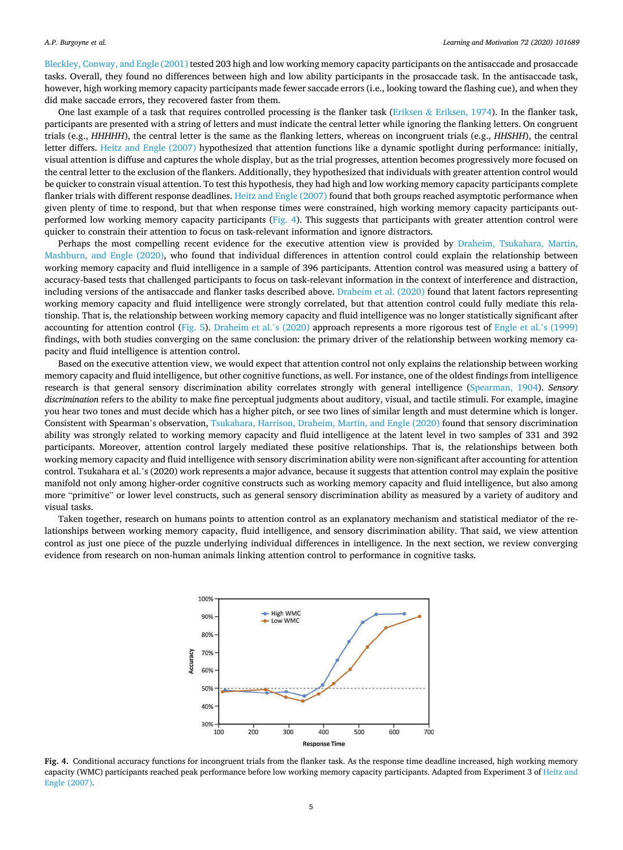[Bleckley, Conway, and Engle \(2001\)](#page-8-0) tested 203 high and low working memory capacity participants on the antisaccade and prosaccade tasks. Overall, they found no differences between high and low ability participants in the prosaccade task. In the antisaccade task, however, high working memory capacity participants made fewer saccade errors (i.e., looking toward the flashing cue), and when they did make saccade errors, they recovered faster from them.

One last example of a task that requires controlled processing is the flanker task (Eriksen  $\&$  [Eriksen, 1974\)](#page-8-0). In the flanker task, participants are presented with a string of letters and must indicate the central letter while ignoring the flanking letters. On congruent trials (e.g., *HHHHH*), the central letter is the same as the flanking letters, whereas on incongruent trials (e.g., *HHSHH*), the central letter differs. [Heitz and Engle \(2007\)](#page-8-0) hypothesized that attention functions like a dynamic spotlight during performance: initially, visual attention is diffuse and captures the whole display, but as the trial progresses, attention becomes progressively more focused on the central letter to the exclusion of the flankers. Additionally, they hypothesized that individuals with greater attention control would be quicker to constrain visual attention. To test this hypothesis, they had high and low working memory capacity participants complete flanker trials with different response deadlines. [Heitz and Engle \(2007\)](#page-8-0) found that both groups reached asymptotic performance when given plenty of time to respond, but that when response times were constrained, high working memory capacity participants outperformed low working memory capacity participants (Fig. 4). This suggests that participants with greater attention control were quicker to constrain their attention to focus on task-relevant information and ignore distractors.

Perhaps the most compelling recent evidence for the executive attention view is provided by [Draheim, Tsukahara, Martin,](#page-8-0) [Mashburn, and Engle \(2020\)](#page-8-0), who found that individual differences in attention control could explain the relationship between working memory capacity and fluid intelligence in a sample of 396 participants. Attention control was measured using a battery of accuracy-based tests that challenged participants to focus on task-relevant information in the context of interference and distraction, including versions of the antisaccade and flanker tasks described above. [Draheim et al. \(2020\)](#page-8-0) found that latent factors representing working memory capacity and fluid intelligence were strongly correlated, but that attention control could fully mediate this relationship. That is, the relationship between working memory capacity and fluid intelligence was no longer statistically significant after accounting for attention control ([Fig. 5](#page-5-0)). [Draheim et al.](#page-8-0)'s (2020) approach represents a more rigorous test of [Engle et al.](#page-8-0)'s (1999) findings, with both studies converging on the same conclusion: the primary driver of the relationship between working memory capacity and fluid intelligence is attention control.

Based on the executive attention view, we would expect that attention control not only explains the relationship between working memory capacity and fluid intelligence, but other cognitive functions, as well. For instance, one of the oldest findings from intelligence research is that general sensory discrimination ability correlates strongly with general intelligence [\(Spearman, 1904](#page-8-0)). *Sensory discrimination* refers to the ability to make fine perceptual judgments about auditory, visual, and tactile stimuli. For example, imagine you hear two tones and must decide which has a higher pitch, or see two lines of similar length and must determine which is longer. Consistent with Spearman's observation, [Tsukahara, Harrison, Draheim, Martin, and Engle \(2020\)](#page-8-0) found that sensory discrimination ability was strongly related to working memory capacity and fluid intelligence at the latent level in two samples of 331 and 392 participants. Moreover, attention control largely mediated these positive relationships. That is, the relationships between both working memory capacity and fluid intelligence with sensory discrimination ability were non-significant after accounting for attention control. Tsukahara et al.'s (2020) work represents a major advance, because it suggests that attention control may explain the positive manifold not only among higher-order cognitive constructs such as working memory capacity and fluid intelligence, but also among more "primitive" or lower level constructs, such as general sensory discrimination ability as measured by a variety of auditory and visual tasks.

Taken together, research on humans points to attention control as an explanatory mechanism and statistical mediator of the relationships between working memory capacity, fluid intelligence, and sensory discrimination ability. That said, we view attention control as just one piece of the puzzle underlying individual differences in intelligence. In the next section, we review converging evidence from research on non-human animals linking attention control to performance in cognitive tasks.



**Fig. 4.** Conditional accuracy functions for incongruent trials from the flanker task. As the response time deadline increased, high working memory capacity (WMC) participants reached peak performance before low working memory capacity participants. Adapted from Experiment 3 of [Heitz and](#page-8-0) [Engle \(2007\).](#page-8-0)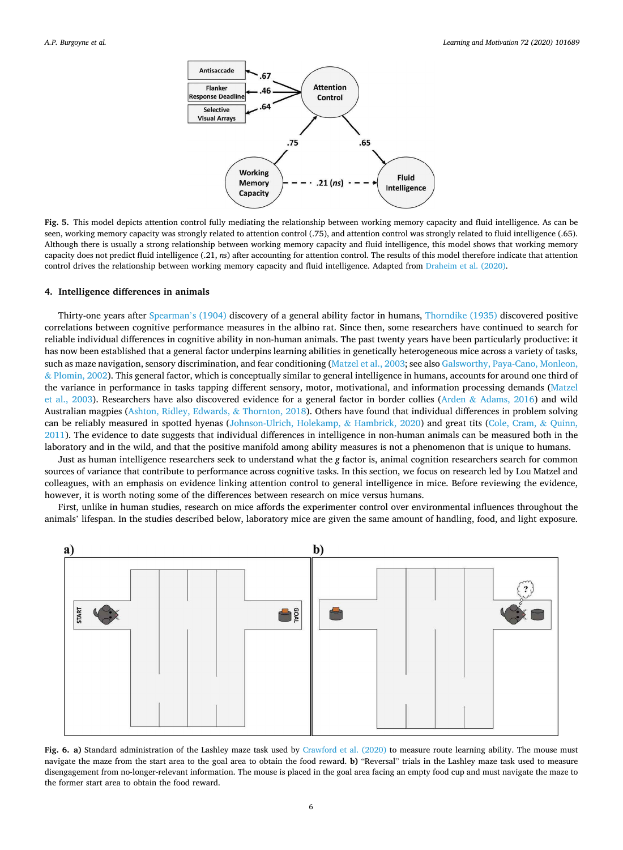<span id="page-5-0"></span>

**Fig. 5.** This model depicts attention control fully mediating the relationship between working memory capacity and fluid intelligence. As can be seen, working memory capacity was strongly related to attention control (.75), and attention control was strongly related to fluid intelligence (.65). Although there is usually a strong relationship between working memory capacity and fluid intelligence, this model shows that working memory capacity does not predict fluid intelligence (.21, *ns*) after accounting for attention control. The results of this model therefore indicate that attention control drives the relationship between working memory capacity and fluid intelligence. Adapted from [Draheim et al. \(2020\)](#page-8-0).

#### **4. Intelligence differences in animals**

Thirty-one years after [Spearman](#page-8-0)'s (1904) discovery of a general ability factor in humans, [Thorndike \(1935\)](#page-8-0) discovered positive correlations between cognitive performance measures in the albino rat. Since then, some researchers have continued to search for reliable individual differences in cognitive ability in non-human animals. The past twenty years have been particularly productive: it has now been established that a general factor underpins learning abilities in genetically heterogeneous mice across a variety of tasks, such as maze navigation, sensory discrimination, and fear conditioning ([Matzel et al., 2003](#page-8-0); see also [Galsworthy, Paya-Cano, Monleon,](#page-8-0) & [Plomin, 2002\)](#page-8-0). This general factor, which is conceptually similar to general intelligence in humans, accounts for around one third of the variance in performance in tasks tapping different sensory, motor, motivational, and information processing demands ([Matzel](#page-8-0) [et al., 2003\)](#page-8-0). Researchers have also discovered evidence for a general factor in border collies (Arden & [Adams, 2016](#page-7-0)) and wild Australian magpies [\(Ashton, Ridley, Edwards,](#page-7-0) & Thornton, 2018). Others have found that individual differences in problem solving can be reliably measured in spotted hyenas ([Johnson-Ulrich, Holekamp,](#page-8-0) & Hambrick, 2020) and great tits [\(Cole, Cram,](#page-7-0) & Quinn, [2011\)](#page-7-0). The evidence to date suggests that individual differences in intelligence in non-human animals can be measured both in the laboratory and in the wild, and that the positive manifold among ability measures is not a phenomenon that is unique to humans.

Just as human intelligence researchers seek to understand what the *g* factor is, animal cognition researchers search for common sources of variance that contribute to performance across cognitive tasks. In this section, we focus on research led by Lou Matzel and colleagues, with an emphasis on evidence linking attention control to general intelligence in mice. Before reviewing the evidence, however, it is worth noting some of the differences between research on mice versus humans.

First, unlike in human studies, research on mice affords the experimenter control over environmental influences throughout the animals' lifespan. In the studies described below, laboratory mice are given the same amount of handling, food, and light exposure.



**Fig. 6. a)** Standard administration of the Lashley maze task used by [Crawford et al. \(2020\)](#page-7-0) to measure route learning ability. The mouse must navigate the maze from the start area to the goal area to obtain the food reward. **b)** "Reversal" trials in the Lashley maze task used to measure disengagement from no-longer-relevant information. The mouse is placed in the goal area facing an empty food cup and must navigate the maze to the former start area to obtain the food reward.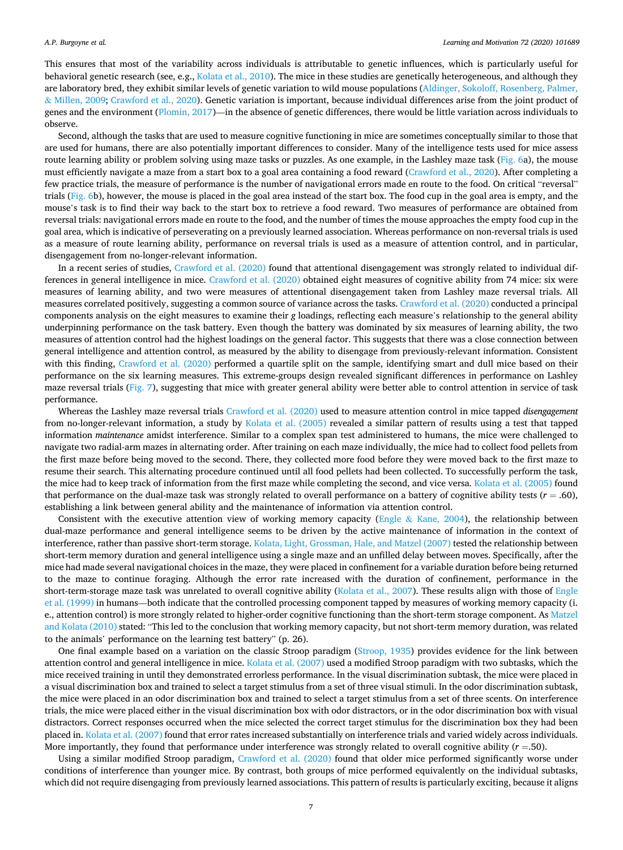This ensures that most of the variability across individuals is attributable to genetic influences, which is particularly useful for behavioral genetic research (see, e.g., [Kolata et al., 2010](#page-8-0)). The mice in these studies are genetically heterogeneous, and although they are laboratory bred, they exhibit similar levels of genetic variation to wild mouse populations ([Aldinger, Sokoloff, Rosenberg, Palmer,](#page-7-0) & [Millen, 2009](#page-7-0); [Crawford et al., 2020](#page-7-0)). Genetic variation is important, because individual differences arise from the joint product of genes and the environment ([Plomin, 2017\)](#page-8-0)—in the absence of genetic differences, there would be little variation across individuals to observe.

Second, although the tasks that are used to measure cognitive functioning in mice are sometimes conceptually similar to those that are used for humans, there are also potentially important differences to consider. Many of the intelligence tests used for mice assess route learning ability or problem solving using maze tasks or puzzles. As one example, in the Lashley maze task ([Fig. 6a](#page-5-0)), the mouse must efficiently navigate a maze from a start box to a goal area containing a food reward [\(Crawford et al., 2020](#page-7-0)). After completing a few practice trials, the measure of performance is the number of navigational errors made en route to the food. On critical "reversal" trials ([Fig. 6b](#page-5-0)), however, the mouse is placed in the goal area instead of the start box. The food cup in the goal area is empty, and the mouse's task is to find their way back to the start box to retrieve a food reward. Two measures of performance are obtained from reversal trials: navigational errors made en route to the food, and the number of times the mouse approaches the empty food cup in the goal area, which is indicative of perseverating on a previously learned association. Whereas performance on non-reversal trials is used as a measure of route learning ability, performance on reversal trials is used as a measure of attention control, and in particular, disengagement from no-longer-relevant information.

In a recent series of studies, [Crawford et al. \(2020\)](#page-7-0) found that attentional disengagement was strongly related to individual differences in general intelligence in mice. [Crawford et al. \(2020\)](#page-7-0) obtained eight measures of cognitive ability from 74 mice: six were measures of learning ability, and two were measures of attentional disengagement taken from Lashley maze reversal trials. All measures correlated positively, suggesting a common source of variance across the tasks. [Crawford et al. \(2020\)](#page-7-0) conducted a principal components analysis on the eight measures to examine their *g* loadings, reflecting each measure's relationship to the general ability underpinning performance on the task battery. Even though the battery was dominated by six measures of learning ability, the two measures of attention control had the highest loadings on the general factor. This suggests that there was a close connection between general intelligence and attention control, as measured by the ability to disengage from previously-relevant information. Consistent with this finding, [Crawford et al. \(2020\)](#page-7-0) performed a quartile split on the sample, identifying smart and dull mice based on their performance on the six learning measures. This extreme-groups design revealed significant differences in performance on Lashley maze reversal trials [\(Fig. 7](#page-7-0)), suggesting that mice with greater general ability were better able to control attention in service of task performance.

Whereas the Lashley maze reversal trials [Crawford et al. \(2020\)](#page-7-0) used to measure attention control in mice tapped *disengagement*  from no-longer-relevant information, a study by [Kolata et al. \(2005\)](#page-8-0) revealed a similar pattern of results using a test that tapped information *maintenance* amidst interference. Similar to a complex span test administered to humans, the mice were challenged to navigate two radial-arm mazes in alternating order. After training on each maze individually, the mice had to collect food pellets from the first maze before being moved to the second. There, they collected more food before they were moved back to the first maze to resume their search. This alternating procedure continued until all food pellets had been collected. To successfully perform the task, the mice had to keep track of information from the first maze while completing the second, and vice versa. [Kolata et al. \(2005\)](#page-8-0) found that performance on the dual-maze task was strongly related to overall performance on a battery of cognitive ability tests (*r* = .60), establishing a link between general ability and the maintenance of information via attention control.

Consistent with the executive attention view of working memory capacity (Engle & [Kane, 2004](#page-8-0)), the relationship between dual-maze performance and general intelligence seems to be driven by the active maintenance of information in the context of interference, rather than passive short-term storage. [Kolata, Light, Grossman, Hale, and Matzel \(2007\)](#page-8-0) tested the relationship between short-term memory duration and general intelligence using a single maze and an unfilled delay between moves. Specifically, after the mice had made several navigational choices in the maze, they were placed in confinement for a variable duration before being returned to the maze to continue foraging. Although the error rate increased with the duration of confinement, performance in the short-term-storage maze task was unrelated to overall cognitive ability [\(Kolata et al., 2007\)](#page-8-0). These results align with those of [Engle](#page-8-0) [et al. \(1999\)](#page-8-0) in humans—both indicate that the controlled processing component tapped by measures of working memory capacity (i. e., attention control) is more strongly related to higher-order cognitive functioning than the short-term storage component. As [Matzel](#page-8-0) [and Kolata \(2010\)](#page-8-0) stated: "This led to the conclusion that working memory capacity, but not short-term memory duration, was related to the animals' performance on the learning test battery" (p. 26).

One final example based on a variation on the classic Stroop paradigm ([Stroop, 1935](#page-8-0)) provides evidence for the link between attention control and general intelligence in mice. [Kolata et al. \(2007\)](#page-8-0) used a modified Stroop paradigm with two subtasks, which the mice received training in until they demonstrated errorless performance. In the visual discrimination subtask, the mice were placed in a visual discrimination box and trained to select a target stimulus from a set of three visual stimuli. In the odor discrimination subtask, the mice were placed in an odor discrimination box and trained to select a target stimulus from a set of three scents. On interference trials, the mice were placed either in the visual discrimination box with odor distractors, or in the odor discrimination box with visual distractors. Correct responses occurred when the mice selected the correct target stimulus for the discrimination box they had been placed in. [Kolata et al. \(2007\)](#page-8-0) found that error rates increased substantially on interference trials and varied widely across individuals. More importantly, they found that performance under interference was strongly related to overall cognitive ability (*r* =.50).

Using a similar modified Stroop paradigm, [Crawford et al. \(2020\)](#page-7-0) found that older mice performed significantly worse under conditions of interference than younger mice. By contrast, both groups of mice performed equivalently on the individual subtasks, which did not require disengaging from previously learned associations. This pattern of results is particularly exciting, because it aligns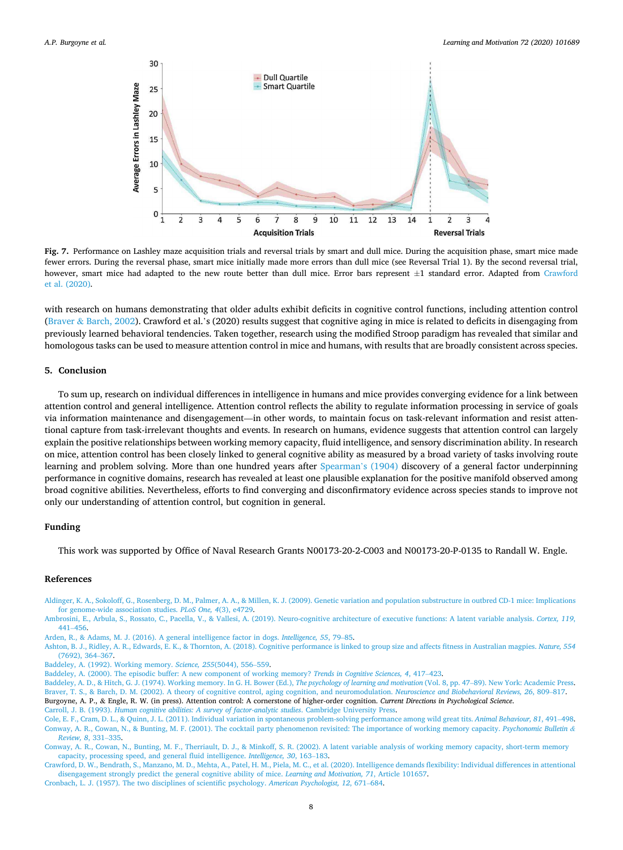<span id="page-7-0"></span>

**Fig. 7.** Performance on Lashley maze acquisition trials and reversal trials by smart and dull mice. During the acquisition phase, smart mice made fewer errors. During the reversal phase, smart mice initially made more errors than dull mice (see Reversal Trial 1). By the second reversal trial, however, smart mice had adapted to the new route better than dull mice. Error bars represent  $\pm 1$  standard error. Adapted from Crawford et al. (2020).

with research on humans demonstrating that older adults exhibit deficits in cognitive control functions, including attention control (Braver & Barch, 2002). Crawford et al.'s (2020) results suggest that cognitive aging in mice is related to deficits in disengaging from previously learned behavioral tendencies. Taken together, research using the modified Stroop paradigm has revealed that similar and homologous tasks can be used to measure attention control in mice and humans, with results that are broadly consistent across species.

## **5. Conclusion**

To sum up, research on individual differences in intelligence in humans and mice provides converging evidence for a link between attention control and general intelligence. Attention control reflects the ability to regulate information processing in service of goals via information maintenance and disengagement—in other words, to maintain focus on task-relevant information and resist attentional capture from task-irrelevant thoughts and events. In research on humans, evidence suggests that attention control can largely explain the positive relationships between working memory capacity, fluid intelligence, and sensory discrimination ability. In research on mice, attention control has been closely linked to general cognitive ability as measured by a broad variety of tasks involving route learning and problem solving. More than one hundred years after [Spearman](#page-8-0)'s (1904) discovery of a general factor underpinning performance in cognitive domains, research has revealed at least one plausible explanation for the positive manifold observed among broad cognitive abilities. Nevertheless, efforts to find converging and disconfirmatory evidence across species stands to improve not only our understanding of attention control, but cognition in general.

## **Funding**

This work was supported by Office of Naval Research Grants N00173-20-2-C003 and N00173-20-P-0135 to Randall W. Engle.

#### **References**

- [Aldinger, K. A., Sokoloff, G., Rosenberg, D. M., Palmer, A. A., & Millen, K. J. \(2009\). Genetic variation and population substructure in outbred CD-1 mice: Implications](http://refhub.elsevier.com/S0023-9690(20)30182-X/sbref0005) [for genome-wide association studies.](http://refhub.elsevier.com/S0023-9690(20)30182-X/sbref0005) *PLoS One, 4*(3), e4729.
- [Ambrosini, E., Arbula, S., Rossato, C., Pacella, V., & Vallesi, A. \(2019\). Neuro-cognitive architecture of executive functions: A latent variable analysis.](http://refhub.elsevier.com/S0023-9690(20)30182-X/sbref0010) *Cortex, 119*, 441–[456.](http://refhub.elsevier.com/S0023-9690(20)30182-X/sbref0010)
- [Arden, R., & Adams, M. J. \(2016\). A general intelligence factor in dogs.](http://refhub.elsevier.com/S0023-9690(20)30182-X/sbref0015) *Intelligence, 55*, 79–85.
- [Ashton, B. J., Ridley, A. R., Edwards, E. K., & Thornton, A. \(2018\). Cognitive performance is linked to group size and affects fitness in Australian magpies.](http://refhub.elsevier.com/S0023-9690(20)30182-X/sbref0020) *Nature, 554*  [\(7692\), 364](http://refhub.elsevier.com/S0023-9690(20)30182-X/sbref0020)–367.
- [Baddeley, A. \(1992\). Working memory.](http://refhub.elsevier.com/S0023-9690(20)30182-X/sbref0025) *Science, 255*(5044), 556–559.
- [Baddeley, A. \(2000\). The episodic buffer: A new component of working memory?](http://refhub.elsevier.com/S0023-9690(20)30182-X/sbref0030) *Trends in Cognitive Sciences, 4*, 417–423.
- [Baddeley, A. D., & Hitch, G. J. \(1974\). Working memory. In G. H. Bower \(Ed.\),](http://refhub.elsevier.com/S0023-9690(20)30182-X/sbref0035) *The psychology of learning and motivation* (Vol. 8, pp. 47–89). New York: Academic Press. [Braver, T. S., & Barch, D. M. \(2002\). A theory of cognitive control, aging cognition, and neuromodulation.](http://refhub.elsevier.com/S0023-9690(20)30182-X/sbref0040) *Neuroscience and Biobehavioral Reviews, 26*, 809–817. Burgoyne, A. P., & Engle, R. W. (in press). Attention control: A cornerstone of higher-order cognition. *Current Directions in Psychological Science*.
- Carroll, J. B. (1993). *[Human cognitive abilities: A survey of factor-analytic studies](http://refhub.elsevier.com/S0023-9690(20)30182-X/sbref0050)*. Cambridge University Press.
- [Cole, E. F., Cram, D. L., & Quinn, J. L. \(2011\). Individual variation in spontaneous problem-solving performance among wild great tits.](http://refhub.elsevier.com/S0023-9690(20)30182-X/sbref0055) *Animal Behaviour, 81*, 491–498. [Conway, A. R., Cowan, N., & Bunting, M. F. \(2001\). The cocktail party phenomenon revisited: The importance of working memory capacity.](http://refhub.elsevier.com/S0023-9690(20)30182-X/sbref0060) *Psychonomic Bulletin & [Review, 8](http://refhub.elsevier.com/S0023-9690(20)30182-X/sbref0060)*, 331–335.

[Conway, A. R., Cowan, N., Bunting, M. F., Therriault, D. J., & Minkoff, S. R. \(2002\). A latent variable analysis of working memory capacity, short-term memory](http://refhub.elsevier.com/S0023-9690(20)30182-X/sbref0065) [capacity, processing speed, and general fluid intelligence.](http://refhub.elsevier.com/S0023-9690(20)30182-X/sbref0065) *Intelligence, 30*, 163–183.

[Crawford, D. W., Bendrath, S., Manzano, M. D., Mehta, A., Patel, H. M., Piela, M. C., et al. \(2020\). Intelligence demands flexibility: Individual differences in attentional](http://refhub.elsevier.com/S0023-9690(20)30182-X/sbref0070) [disengagement strongly predict the general cognitive ability of mice.](http://refhub.elsevier.com/S0023-9690(20)30182-X/sbref0070) *Learning and Motivation, 71*, Article 101657.

[Cronbach, L. J. \(1957\). The two disciplines of scientific psychology.](http://refhub.elsevier.com/S0023-9690(20)30182-X/sbref0075) *American Psychologist, 12*, 671–684.